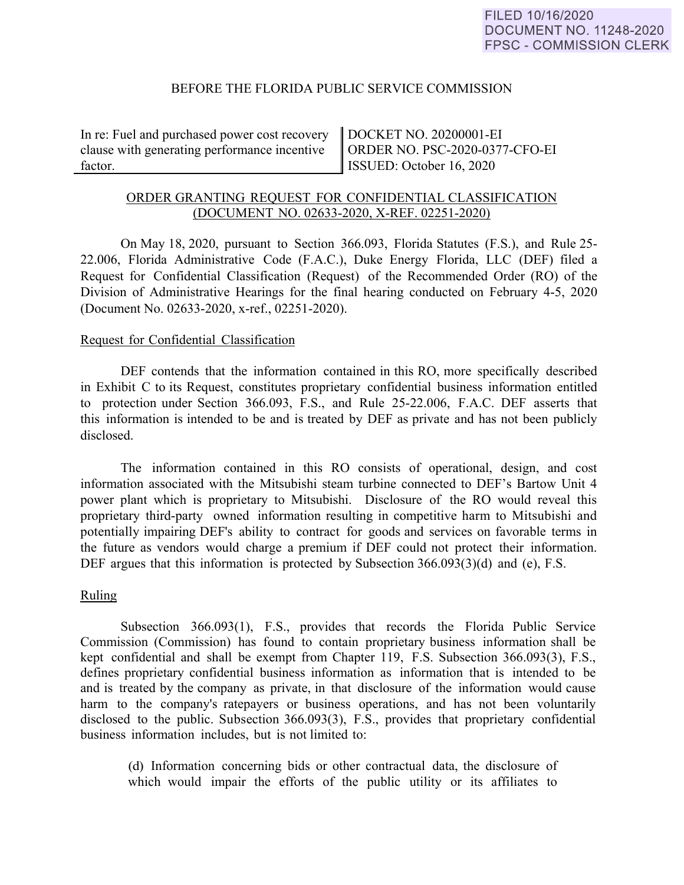### BEFORE THE FLORIDA PUBLIC SERVICE COMMISSION

In re: Fuel and purchased power cost recovery clause with generating performance incentive factor.

DOCKET NO. 20200001-EI ORDER NO. PSC-2020-0377-CFO-EI ISSUED: October 16, 2020

# ORDER GRANTING REQUEST FOR CONFIDENTIAL CLASSIFICATION (DOCUMENT NO. 02633-2020, X-REF. 02251-2020)

On May 18, 2020, pursuant to Section 366.093, Florida Statutes (F.S.), and Rule 25- 22.006, Florida Administrative Code (F.A.C.), Duke Energy Florida, LLC (DEF) filed a Request for Confidential Classification (Request) of the Recommended Order (RO) of the Division of Administrative Hearings for the final hearing conducted on February 4-5, 2020 (Document No. 02633-2020, x-ref., 02251-2020).

#### Request for Confidential Classification

DEF contends that the information contained in this RO, more specifically described in Exhibit C to its Request, constitutes proprietary confidential business information entitled to protection under Section 366.093, F.S., and Rule 25-22.006, F.A.C. DEF asserts that this information is intended to be and is treated by DEF as private and has not been publicly disclosed.

The information contained in this RO consists of operational, design, and cost information associated with the Mitsubishi steam turbine connected to DEF's Bartow Unit 4 power plant which is proprietary to Mitsubishi. Disclosure of the RO would reveal this proprietary third-party owned information resulting in competitive harm to Mitsubishi and potentially impairing DEF's ability to contract for goods and services on favorable terms in the future as vendors would charge a premium if DEF could not protect their information. DEF argues that this information is protected by Subsection 366.093(3)(d) and (e), F.S.

### Ruling

Subsection 366.093(1), F.S., provides that records the Florida Public Service Commission (Commission) has found to contain proprietary business information shall be kept confidential and shall be exempt from Chapter 119, F.S. Subsection 366.093(3), F.S., defines proprietary confidential business information as information that is intended to be and is treated by the company as private, in that disclosure of the information would cause harm to the company's ratepayers or business operations, and has not been voluntarily disclosed to the public. Subsection 366.093(3), F.S., provides that proprietary confidential business information includes, but is not limited to:

(d) Information concerning bids or other contractual data, the disclosure of which would impair the efforts of the public utility or its affiliates to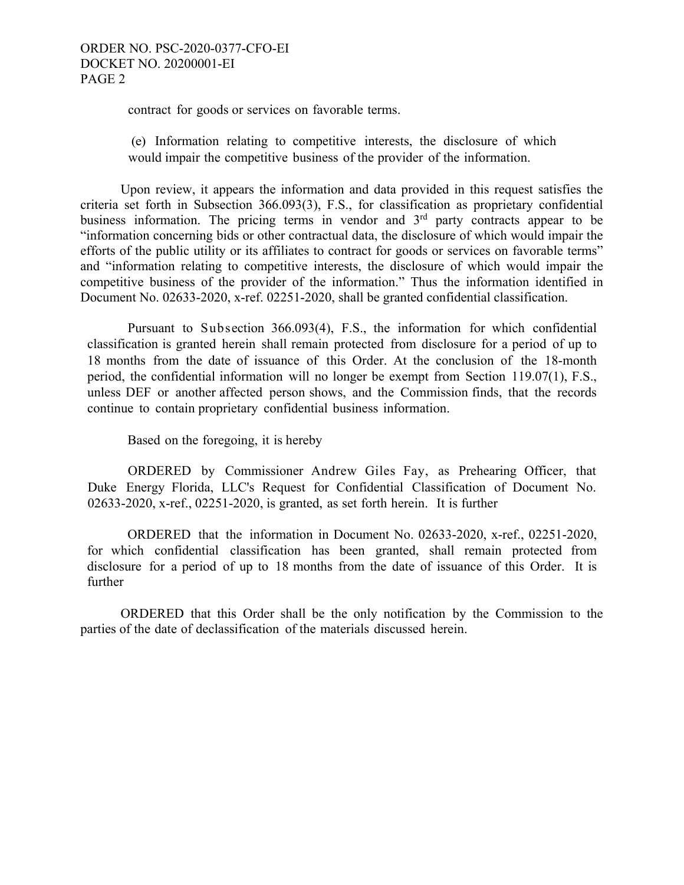contract for goods or services on favorable terms.

(e) Information relating to competitive interests, the disclosure of which would impair the competitive business of the provider of the information.

 Upon review, it appears the information and data provided in this request satisfies the criteria set forth in Subsection 366.093(3), F.S., for classification as proprietary confidential business information. The pricing terms in vendor and 3<sup>rd</sup> party contracts appear to be "information concerning bids or other contractual data, the disclosure of which would impair the efforts of the public utility or its affiliates to contract for goods or services on favorable terms" and "information relating to competitive interests, the disclosure of which would impair the competitive business of the provider of the information." Thus the information identified in Document No. 02633-2020, x-ref. 02251-2020, shall be granted confidential classification.

Pursuant to Subsection 366.093(4), F.S., the information for which confidential classification is granted herein shall remain protected from disclosure for a period of up to 18 months from the date of issuance of this Order. At the conclusion of the 18-month period, the confidential information will no longer be exempt from Section 119.07(1), F.S., unless DEF or another affected person shows, and the Commission finds, that the records continue to contain proprietary confidential business information.

Based on the foregoing, it is hereby

ORDERED by Commissioner Andrew Giles Fay, as Prehearing Officer, that Duke Energy Florida, LLC's Request for Confidential Classification of Document No. 02633-2020, x-ref., 02251-2020, is granted, as set forth herein. It is further

ORDERED that the information in Document No. 02633-2020, x-ref., 02251-2020, for which confidential classification has been granted, shall remain protected from disclosure for a period of up to 18 months from the date of issuance of this Order. It is further

 ORDERED that this Order shall be the only notification by the Commission to the parties of the date of declassification of the materials discussed herein.